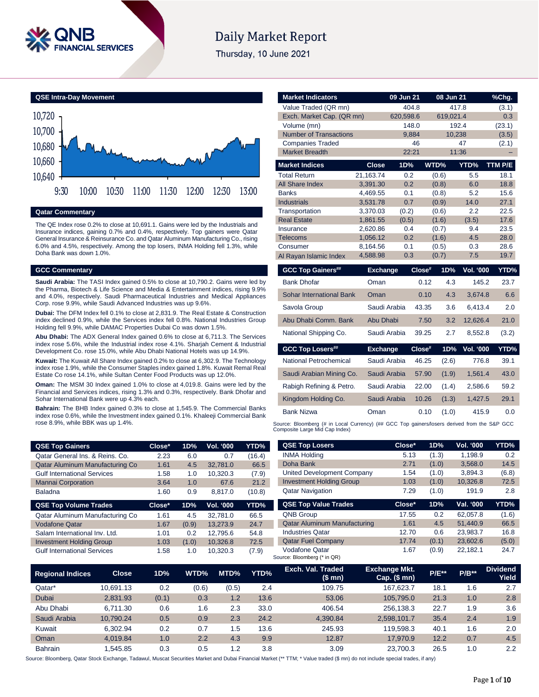

# **Daily Market Report**

Thursday, 10 June 2021



### **Qatar Commentary**

The QE Index rose 0.2% to close at 10,691.1. Gains were led by the Industrials and Insurance indices, gaining 0.7% and 0.4%, respectively. Top gainers were Qatar General Insurance & Reinsurance Co. and Qatar Aluminum Manufacturing Co., rising 6.0% and 4.5%, respectively. Among the top losers, INMA Holding fell 1.3%, while Doha Bank was down 1.0%.

### **GCC Commentary**

**Saudi Arabia:** The TASI Index gained 0.5% to close at 10,790.2. Gains were led by the Pharma, Biotech & Life Science and Media & Entertainment indices, rising 9.9% and 4.0%, respectively. Saudi Pharmaceutical Industries and Medical Appliances Corp. rose 9.9%, while Saudi Advanced Industries was up 9.6%.

**Dubai:** The DFM Index fell 0.1% to close at 2,831.9. The Real Estate & Construction index declined 0.9%, while the Services index fell 0.8%. National Industries Group Holding fell 9.9%, while DAMAC Properties Dubai Co was down 1.5%.

**Abu Dhabi:** The ADX General Index gained 0.6% to close at 6,711.3. The Services index rose 5.6%, while the Industrial index rose 4.1%. Sharjah Cement & Industrial Development Co. rose 15.0%, while Abu Dhabi National Hotels was up 14.9%.

**Kuwait:** The Kuwait All Share Index gained 0.2% to close at 6,302.9. The Technology index rose 1.9%, while the Consumer Staples index gained 1.8%. Kuwait Remal Real Estate Co rose 14.1%, while Sultan Center Food Products was up 12.0%.

**Oman:** The MSM 30 Index gained 1.0% to close at 4,019.8. Gains were led by the Financial and Services indices, rising 1.3% and 0.3%, respectively. Bank Dhofar and Sohar International Bank were up 4.3% each.

**Bahrain:** The BHB Index gained 0.3% to close at 1,545.9. The Commercial Banks index rose 0.6%, while the Investment index gained 0.1%. Khaleeji Commercial Bank rose 8.9%, while BBK was up 1.4%.

| <b>QSE Top Gainers</b>             | Close* | 1D%   | Vol. '000 | YTD%   |
|------------------------------------|--------|-------|-----------|--------|
| Qatar General Ins. & Reins. Co.    | 2.23   | 6.0   | 0.7       | (16.4) |
| Qatar Aluminum Manufacturing Co    | 1.61   | 4.5   | 32,781.0  | 66.5   |
| <b>Gulf International Services</b> | 1.58   | 1.0   | 10,320.3  | (7.9)  |
| <b>Mannai Corporation</b>          | 3.64   | 1.0   | 67.6      | 21.2   |
| <b>Baladna</b>                     | 1.60   | 0.9   | 8.817.0   | (10.8) |
|                                    |        |       |           |        |
| <b>QSE Top Volume Trades</b>       | Close* | 1D%   | Vol. '000 | YTD%   |
| Qatar Aluminum Manufacturing Co    | 1.61   | 4.5   | 32.781.0  | 66.5   |
| <b>Vodafone Qatar</b>              | 1.67   | (0.9) | 13,273.9  | 24.7   |
| Salam International Inv. Ltd.      | 1.01   | 0.2   | 12.795.6  | 54.8   |
| <b>Investment Holding Group</b>    | 1.03   | (1.0) | 10,326.8  | 72.5   |

|                                 |                 |           |          |           |                  | ັ       |
|---------------------------------|-----------------|-----------|----------|-----------|------------------|---------|
| Value Traded (QR mn)            |                 |           | 404.8    |           | 417.8            | (3.1)   |
| Exch. Market Cap. (QR mn)       |                 | 620,598.6 |          | 619,021.4 |                  | 0.3     |
| Volume (mn)                     |                 |           | 148.0    |           | 192.4            | (23.1)  |
| <b>Number of Transactions</b>   |                 |           | 9,884    | 10,238    |                  | (3.5)   |
| <b>Companies Traded</b>         |                 |           | 46       |           | 47               | (2.1)   |
| <b>Market Breadth</b>           |                 |           | 22:21    |           | 11:36            |         |
| <b>Market Indices</b>           | <b>Close</b>    | 1D%       |          | WTD%      | YTD%             | TTM P/E |
| <b>Total Return</b>             | 21,163.74       | 0.2       |          | (0.6)     | 5.5              | 18.1    |
| <b>All Share Index</b>          | 3,391.30        | 0.2       |          | (0.8)     | 6.0              | 18.8    |
| <b>Banks</b>                    | 4,469.55        | 0.1       |          | (0.8)     | 5.2              | 15.6    |
| <b>Industrials</b>              | 3,531.78        | 0.7       |          | (0.9)     | 14.0             | 27.1    |
| Transportation                  | 3,370.03        | (0.2)     |          | (0.6)     | 2.2              | 22.5    |
| <b>Real Estate</b>              | 1,861.55        | (0.5)     |          | (1.6)     | (3.5)            | 17.6    |
| Insurance                       | 2,620.86        | 0.4       |          | (0.7)     | 9.4              | 23.5    |
| <b>Telecoms</b>                 | 1,056.12        | 0.2       |          | (1.6)     | 4.5              | 28.0    |
| Consumer                        | 8,164.56        | 0.1       |          | (0.5)     | 0.3              | 28.6    |
| Al Rayan Islamic Index          | 4,588.98        | 0.3       |          | (0.7)     | 7.5              | 19.7    |
| <b>GCC Top Gainers##</b>        | <b>Exchange</b> |           | Close#   | 1D%       | Vol. '000        | YTD%    |
| <b>Bank Dhofar</b>              | Oman            |           | 0.12     | 4.3       | 145.2            | 23.7    |
| <b>Sohar International Bank</b> | Oman            |           | 0.10     | 4.3       | 3,674.8          | 6.6     |
| Savola Group                    | Saudi Arabia    |           | 43.35    | 3.6       | 6,413.4          | 2.0     |
| Abu Dhabi Comm. Bank            | Abu Dhabi       |           | 7.50     | 3.2       | 12,626.4         | 21.0    |
| National Shipping Co.           | Saudi Arabia    |           | 39.25    | 2.7       | 8,552.8          | (3.2)   |
| <b>GCC Top Losers##</b>         | <b>Exchange</b> |           | $Close*$ | 1D%       | <b>Vol. '000</b> | YTD%    |
| National Petrochemical          | Saudi Arabia    |           | 46.25    | (2.6)     | 776.8            | 39.1    |
| Saudi Arabian Mining Co.        | Saudi Arabia    |           | 57.90    | (1.9)     | 1,561.4          | 43.0    |
| Rabigh Refining & Petro.        | Saudi Arabia    |           | 22.00    | (1.4)     | 2,586.6          | 59.2    |

**Market Indicators 09 Jun 21 08 Jun 21 %Chg.**

Kingdom Holding Co. Saudi Arabia 10.26 (1.3) 1,427.5 29.1 Bank Nizwa Oman 0.10 (1.0) 415.9 0.0

Source: Bloomberg (# in Local Currency) (## GCC Top gainers/losers derived from the S&P GCC Composite Large Mid Cap Index)

| <b>QSE Top Losers</b>               | Close* | 1D%   | Vol. '000 | YTD%  |
|-------------------------------------|--------|-------|-----------|-------|
| <b>INMA Holding</b>                 | 5.13   | (1.3) | 1,198.9   | 0.2   |
| Doha Bank                           | 2.71   | (1.0) | 3.568.0   | 14.5  |
| United Development Company          | 1.54   | (1.0) | 3.894.3   | (6.8) |
| <b>Investment Holding Group</b>     | 1.03   | (1.0) | 10.326.8  | 72.5  |
| <b>Qatar Navigation</b>             | 7.29   | (1.0) | 191.9     | 2.8   |
|                                     |        |       |           |       |
| <b>QSE Top Value Trades</b>         | Close* | 1D%   | Val. '000 | YTD%  |
| <b>QNB Group</b>                    | 17.55  | 0.2   | 62.057.8  | (1.6) |
| <b>Qatar Aluminum Manufacturing</b> | 1.61   | 4.5   | 51.440.9  | 66.5  |
| <b>Industries Qatar</b>             | 12.70  | 0.6   | 23.983.7  | 16.8  |
| <b>Qatar Fuel Company</b>           | 17.74  | (0.1) | 23.602.6  | (5.0) |

| <b>Regional Indices</b> | Close.    | 1D%   | WTD%  | MTD%  | YTD% | Exch. Val. Traded<br>(\$mn) | <b>Exchange Mkt.</b><br>$Cap.$ (\$ mn) | <b>P/E**</b> | $P/B**$ | <b>Dividend</b><br>Yield |
|-------------------------|-----------|-------|-------|-------|------|-----------------------------|----------------------------------------|--------------|---------|--------------------------|
| Qatar*                  | 10.691.13 | 0.2   | (0.6) | (0.5) | 2.4  | 109.75                      | 167.623.7                              | 18.1         | 1.6     | 2.7                      |
| Dubai                   | 2.831.93  | (0.1) | 0.3   | 1.2   | 13.6 | 53.06                       | 105.795.0                              | 21.3         | 1.0     | 2.8                      |
| Abu Dhabi               | 6.711.30  | 0.6   | 1.6   | 2.3   | 33.0 | 406.54                      | 256.138.3                              | 22.7         | 1.9     | 3.6                      |
| Saudi Arabia            | 10.790.24 | 0.5   | 0.9   | 2.3   | 24.2 | 4.390.84                    | 2.598.101.7                            | 35.4         | 2.4     | 1.9                      |
| Kuwait                  | 6.302.94  | 0.2   | 0.7   | 1.5   | 13.6 | 245.93                      | 119.598.3                              | 40.1         | 1.6     | 2.0                      |
| Oman                    | 4.019.84  | 1.0   | 2.2   | 4.3   | 9.9  | 12.87                       | 17.970.9                               | 12.2         | 0.7     | 4.5                      |
| <b>Bahrain</b>          | .545.85   | 0.3   | 0.5   | 1.2   | 3.8  | 3.09                        | 23.700.3                               | 26.5         | 1.0     | 2.2                      |

Source: Bloomberg, Qatar Stock Exchange, Tadawul, Muscat Securities Market and Dubai Financial Market (\*\* TTM; \* Value traded (\$ mn) do not include special trades, if any)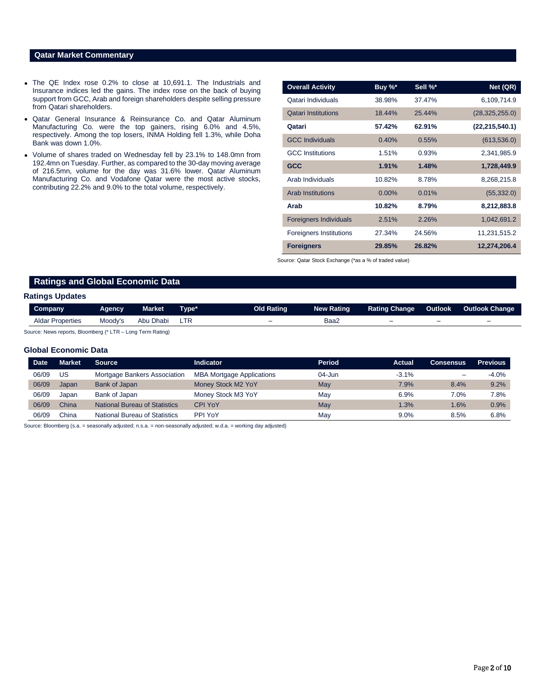## **Qatar Market Commentary**

- The QE Index rose 0.2% to close at 10,691.1. The Industrials and Insurance indices led the gains. The index rose on the back of buying support from GCC, Arab and foreign shareholders despite selling pressure from Qatari shareholders.
- Qatar General Insurance & Reinsurance Co. and Qatar Aluminum Manufacturing Co. were the top gainers, rising 6.0% and 4.5%, respectively. Among the top losers, INMA Holding fell 1.3%, while Doha Bank was down 1.0%.
- Volume of shares traded on Wednesday fell by 23.1% to 148.0mn from 192.4mn on Tuesday. Further, as compared to the 30-day moving average of 216.5mn, volume for the day was 31.6% lower. Qatar Aluminum Manufacturing Co. and Vodafone Qatar were the most active stocks, contributing 22.2% and 9.0% to the total volume, respectively.

| <b>Overall Activity</b>        | Buy %*   | Sell %* | Net (QR)         |
|--------------------------------|----------|---------|------------------|
| Qatari Individuals             | 38.98%   | 37.47%  | 6,109,714.9      |
| <b>Qatari Institutions</b>     | 18.44%   | 25.44%  | (28, 325, 255.0) |
| Qatari                         | 57.42%   | 62.91%  | (22, 215, 540.1) |
| <b>GCC Individuals</b>         | 0.40%    | 0.55%   | (613, 536.0)     |
| <b>GCC Institutions</b>        | 1.51%    | 0.93%   | 2,341,985.9      |
| <b>GCC</b>                     | 1.91%    | 1.48%   | 1,728,449.9      |
| Arab Individuals               | 10.82%   | 8.78%   | 8,268,215.8      |
| <b>Arab Institutions</b>       | $0.00\%$ | 0.01%   | (55, 332.0)      |
| Arab                           | 10.82%   | 8.79%   | 8,212,883.8      |
| <b>Foreigners Individuals</b>  | 2.51%    | 2.26%   | 1,042,691.2      |
| <b>Foreigners Institutions</b> | 27.34%   | 24.56%  | 11,231,515.2     |
| <b>Foreigners</b>              | 29.85%   | 26.82%  | 12,274,206.4     |

Source: Qatar Stock Exchange (\*as a % of traded value)

## **Ratings and Global Economic Data**

### **Ratings Updates**

| <b>Company</b>          | <b>Agency</b> | <b>Market</b> | Type* | <b>Old Rating</b> | <b>New Rating</b> | <b>Rating Change</b>     | Outlook                  | <b>Outlook Change</b>    |
|-------------------------|---------------|---------------|-------|-------------------|-------------------|--------------------------|--------------------------|--------------------------|
| <b>Aldar Properties</b> | Moody's       | Abu Dhabi     |       | $-$               | Baa∠              | $\overline{\phantom{0}}$ | $\overline{\phantom{0}}$ | $\overline{\phantom{0}}$ |

Source: News reports, Bloomberg (\* LTR – Long Term Rating)

### **Global Economic Data**

| <b>Date</b> | Market | Source                               | <b>Indicator</b>                 | Period | Actual  | <b>Consensus</b>         | <b>Previous</b> |
|-------------|--------|--------------------------------------|----------------------------------|--------|---------|--------------------------|-----------------|
| 06/09       | US     | Mortgage Bankers Association         | <b>MBA Mortgage Applications</b> | 04-Jun | $-3.1%$ | $\overline{\phantom{0}}$ | $-4.0%$         |
| 06/09       | Japan  | Bank of Japan                        | Money Stock M2 YoY               | May    | 7.9%    | 8.4%                     | 9.2%            |
| 06/09       | Japan  | Bank of Japan                        | Money Stock M3 YoY               | May    | 6.9%    | 7.0%                     | 7.8%            |
| 06/09       | China  | <b>National Bureau of Statistics</b> | <b>CPI YoY</b>                   | May    | 1.3%    | 1.6%                     | 0.9%            |
| 06/09       | China  | <b>National Bureau of Statistics</b> | PPI YoY                          | May    | $9.0\%$ | 8.5%                     | 6.8%            |

Source: Bloomberg (s.a. = seasonally adjusted; n.s.a. = non-seasonally adjusted; w.d.a. = working day adjusted)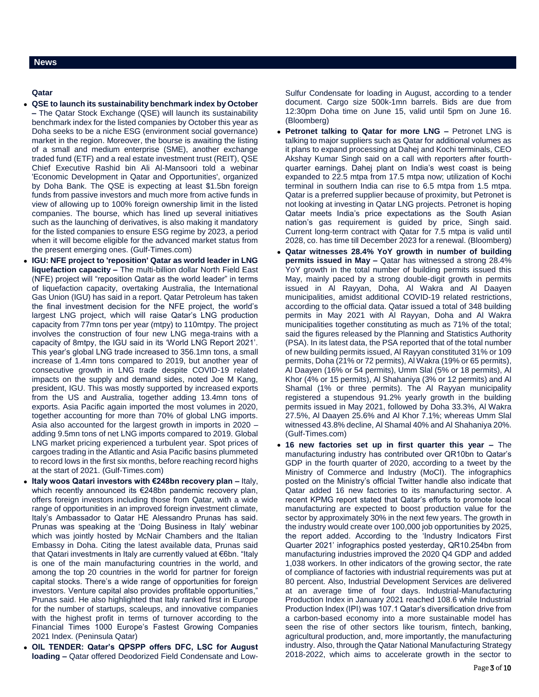### **Qatar**

- **QSE to launch its sustainability benchmark index by October –** The Qatar Stock Exchange (QSE) will launch its sustainability benchmark index for the listed companies by October this year as Doha seeks to be a niche ESG (environment social governance) market in the region. Moreover, the bourse is awaiting the listing of a small and medium enterprise (SME), another exchange traded fund (ETF) and a real estate investment trust (REIT), QSE Chief Executive Rashid bin Ali Al-Mansoori told a webinar 'Economic Development in Qatar and Opportunities', organized by Doha Bank. The QSE is expecting at least \$1.5bn foreign funds from passive investors and much more from active funds in view of allowing up to 100% foreign ownership limit in the listed companies. The bourse, which has lined up several initiatives such as the launching of derivatives, is also making it mandatory for the listed companies to ensure ESG regime by 2023, a period when it will become eligible for the advanced market status from the present emerging ones. (Gulf-Times.com)
- **IGU: NFE project to 'reposition' Qatar as world leader in LNG liquefaction capacity –** The multi-billion dollar North Field East (NFE) project will "reposition Qatar as the world leader" in terms of liquefaction capacity, overtaking Australia, the International Gas Union (IGU) has said in a report. Qatar Petroleum has taken the final investment decision for the NFE project, the world's largest LNG project, which will raise Qatar's LNG production capacity from 77mn tons per year (mtpy) to 110mtpy. The project involves the construction of four new LNG mega-trains with a capacity of 8mtpy, the IGU said in its 'World LNG Report 2021'. This year's global LNG trade increased to 356.1mn tons, a small increase of 1.4mn tons compared to 2019, but another year of consecutive growth in LNG trade despite COVID-19 related impacts on the supply and demand sides, noted Joe M Kang, president, IGU. This was mostly supported by increased exports from the US and Australia, together adding 13.4mn tons of exports. Asia Pacific again imported the most volumes in 2020, together accounting for more than 70% of global LNG imports. Asia also accounted for the largest growth in imports in 2020 – adding 9.5mn tons of net LNG imports compared to 2019. Global LNG market pricing experienced a turbulent year. Spot prices of cargoes trading in the Atlantic and Asia Pacific basins plummeted to record lows in the first six months, before reaching record highs at the start of 2021. (Gulf-Times.com)
- **Italy woos Qatari investors with €248bn recovery plan –** Italy, which recently announced its €248bn pandemic recovery plan, offers foreign investors including those from Qatar, with a wide range of opportunities in an improved foreign investment climate, Italy's Ambassador to Qatar HE Alessandro Prunas has said. Prunas was speaking at the 'Doing Business in Italy' webinar which was jointly hosted by McNair Chambers and the Italian Embassy in Doha. Citing the latest available data, Prunas said that Qatari investments in Italy are currently valued at €6bn. "Italy is one of the main manufacturing countries in the world, and among the top 20 countries in the world for partner for foreign capital stocks. There's a wide range of opportunities for foreign investors. Venture capital also provides profitable opportunities," Prunas said. He also highlighted that Italy ranked first in Europe for the number of startups, scaleups, and innovative companies with the highest profit in terms of turnover according to the Financial Times 1000 Europe's Fastest Growing Companies 2021 Index. (Peninsula Qatar)
- **OIL TENDER: Qatar's QPSPP offers DFC, LSC for August loading –** Qatar offered Deodorized Field Condensate and Low-

Sulfur Condensate for loading in August, according to a tender document. Cargo size 500k-1mn barrels. Bids are due from 12:30pm Doha time on June 15, valid until 5pm on June 16. (Bloomberg)

- **Petronet talking to Qatar for more LNG –** Petronet LNG is talking to major suppliers such as Qatar for additional volumes as it plans to expand processing at Dahej and Kochi terminals, CEO Akshay Kumar Singh said on a call with reporters after fourthquarter earnings. Dahej plant on India's west coast is being expanded to 22.5 mtpa from 17.5 mtpa now; utilization of Kochi terminal in southern India can rise to 6.5 mtpa from 1.5 mtpa. Qatar is a preferred supplier because of proximity, but Petronet is not looking at investing in Qatar LNG projects. Petronet is hoping Qatar meets India's price expectations as the South Asian nation's gas requirement is guided by price, Singh said. Current long-term contract with Qatar for 7.5 mtpa is valid until 2028, co. has time till December 2023 for a renewal. (Bloomberg)
- **Qatar witnesses 28.4% YoY growth in number of building permits issued in May –** Qatar has witnessed a strong 28.4% YoY growth in the total number of building permits issued this May, mainly paced by a strong double-digit growth in permits issued in Al Rayyan, Doha, Al Wakra and Al Daayen municipalities, amidst additional COVID-19 related restrictions, according to the official data. Qatar issued a total of 348 building permits in May 2021 with Al Rayyan, Doha and Al Wakra municipalities together constituting as much as 71% of the total; said the figures released by the Planning and Statistics Authority (PSA). In its latest data, the PSA reported that of the total number of new building permits issued, Al Rayyan constituted 31% or 109 permits, Doha (21% or 72 permits), Al Wakra (19% or 65 permits), Al Daayen (16% or 54 permits), Umm Slal (5% or 18 permits), Al Khor (4% or 15 permits), Al Shahaniya (3% or 12 permits) and Al Shamal (1% or three permits). The Al Rayyan municipality registered a stupendous 91.2% yearly growth in the building permits issued in May 2021, followed by Doha 33.3%, Al Wakra 27.5%, Al Daayen 25.6% and Al Khor 7.1%; whereas Umm Slal witnessed 43.8% decline, Al Shamal 40% and Al Shahaniya 20%. (Gulf-Times.com)
- **16 new factories set up in first quarter this year –** The manufacturing industry has contributed over QR10bn to Qatar's GDP in the fourth quarter of 2020, according to a tweet by the Ministry of Commerce and Industry (MoCI). The infographics posted on the Ministry's official Twitter handle also indicate that Qatar added 16 new factories to its manufacturing sector. A recent KPMG report stated that Qatar's efforts to promote local manufacturing are expected to boost production value for the sector by approximately 30% in the next few years. The growth in the industry would create over 100,000 job opportunities by 2025, the report added. According to the 'Industry Indicators First Quarter 2021' infographics posted yesterday, QR10.254bn from manufacturing industries improved the 2020 Q4 GDP and added 1,038 workers. In other indicators of the growing sector, the rate of compliance of factories with industrial requirements was put at 80 percent. Also, Industrial Development Services are delivered at an average time of four days. Industrial-Manufacturing Production Index in January 2021 reached 108.6 while Industrial Production Index (IPI) was 107.1 Qatar's diversification drive from a carbon-based economy into a more sustainable model has seen the rise of other sectors like tourism, fintech, banking, agricultural production, and, more importantly, the manufacturing industry. Also, through the Qatar National Manufacturing Strategy 2018-2022, which aims to accelerate growth in the sector to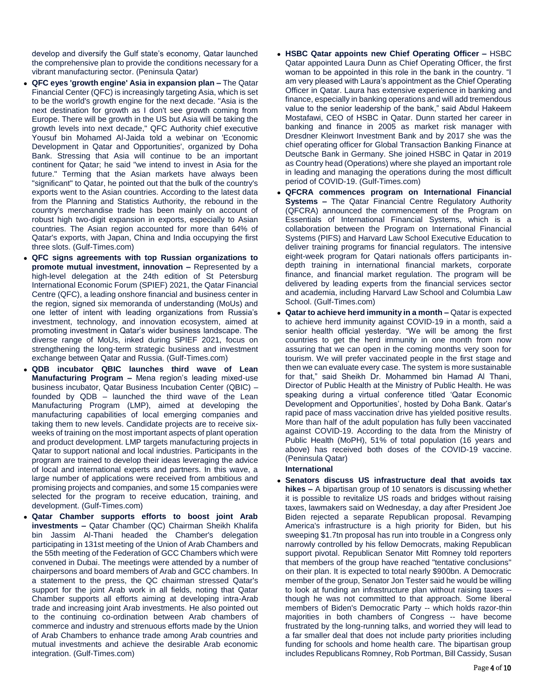develop and diversify the Gulf state's economy, Qatar launched the comprehensive plan to provide the conditions necessary for a vibrant manufacturing sector. (Peninsula Qatar)

- **QFC eyes 'growth engine' Asia in expansion plan –** The Qatar Financial Center (QFC) is increasingly targeting Asia, which is set to be the world's growth engine for the next decade. "Asia is the next destination for growth as I don't see growth coming from Europe. There will be growth in the US but Asia will be taking the growth levels into next decade," QFC Authority chief executive Yousuf bin Mohamed Al-Jaida told a webinar on 'Economic Development in Qatar and Opportunities', organized by Doha Bank. Stressing that Asia will continue to be an important continent for Qatar; he said "we intend to invest in Asia for the future." Terming that the Asian markets have always been "significant" to Qatar, he pointed out that the bulk of the country's exports went to the Asian countries. According to the latest data from the Planning and Statistics Authority, the rebound in the country's merchandise trade has been mainly on account of robust high two-digit expansion in exports, especially to Asian countries. The Asian region accounted for more than 64% of Qatar's exports, with Japan, China and India occupying the first three slots. (Gulf-Times.com)
- **QFC signs agreements with top Russian organizations to promote mutual investment, innovation –** Represented by a high-level delegation at the 24th edition of St Petersburg International Economic Forum (SPIEF) 2021, the Qatar Financial Centre (QFC), a leading onshore financial and business center in the region, signed six memoranda of understanding (MoUs) and one letter of intent with leading organizations from Russia's investment, technology, and innovation ecosystem, aimed at promoting investment in Qatar's wider business landscape. The diverse range of MoUs, inked during SPIEF 2021, focus on strengthening the long-term strategic business and investment exchange between Qatar and Russia. (Gulf-Times.com)
- **QDB incubator QBIC launches third wave of Lean Manufacturing Program –** Mena region's leading mixed-use business incubator, Qatar Business Incubation Center (QBIC) – founded by QDB – launched the third wave of the Lean Manufacturing Program (LMP), aimed at developing the manufacturing capabilities of local emerging companies and taking them to new levels. Candidate projects are to receive sixweeks of training on the most important aspects of plant operation and product development. LMP targets manufacturing projects in Qatar to support national and local industries. Participants in the program are trained to develop their ideas leveraging the advice of local and international experts and partners. In this wave, a large number of applications were received from ambitious and promising projects and companies, and some 15 companies were selected for the program to receive education, training, and development. (Gulf-Times.com)
- **Qatar Chamber supports efforts to boost joint Arab investments –** Qatar Chamber (QC) Chairman Sheikh Khalifa bin Jassim Al-Thani headed the Chamber's delegation participating in 131st meeting of the Union of Arab Chambers and the 55th meeting of the Federation of GCC Chambers which were convened in Dubai. The meetings were attended by a number of chairpersons and board members of Arab and GCC chambers. In a statement to the press, the QC chairman stressed Qatar's support for the joint Arab work in all fields, noting that Qatar Chamber supports all efforts aiming at developing intra-Arab trade and increasing joint Arab investments. He also pointed out to the continuing co-ordination between Arab chambers of commerce and industry and strenuous efforts made by the Union of Arab Chambers to enhance trade among Arab countries and mutual investments and achieve the desirable Arab economic integration. (Gulf-Times.com)
- **HSBC Qatar appoints new Chief Operating Officer –** HSBC Qatar appointed Laura Dunn as Chief Operating Officer, the first woman to be appointed in this role in the bank in the country. "I am very pleased with Laura's appointment as the Chief Operating Officer in Qatar. Laura has extensive experience in banking and finance, especially in banking operations and will add tremendous value to the senior leadership of the bank," said Abdul Hakeem Mostafawi, CEO of HSBC in Qatar. Dunn started her career in banking and finance in 2005 as market risk manager with Dresdner Kleinwort Investment Bank and by 2017 she was the chief operating officer for Global Transaction Banking Finance at Deutsche Bank in Germany. She joined HSBC in Qatar in 2019 as Country head (Operations) where she played an important role in leading and managing the operations during the most difficult period of COVID-19. (Gulf-Times.com)
- **QFCRA commences program on International Financial Systems –** The Qatar Financial Centre Regulatory Authority (QFCRA) announced the commencement of the Program on Essentials of International Financial Systems, which is a collaboration between the Program on International Financial Systems (PIFS) and Harvard Law School Executive Education to deliver training programs for financial regulators. The intensive eight-week program for Qatari nationals offers participants indepth training in international financial markets, corporate finance, and financial market regulation. The program will be delivered by leading experts from the financial services sector and academia, including Harvard Law School and Columbia Law School. (Gulf-Times.com)
- **Qatar to achieve herd immunity in a month –** Qatar is expected to achieve herd immunity against COVID-19 in a month, said a senior health official yesterday. "We will be among the first countries to get the herd immunity in one month from now assuring that we can open in the coming months very soon for tourism. We will prefer vaccinated people in the first stage and then we can evaluate every case. The system is more sustainable for that," said Sheikh Dr. Mohammed bin Hamad Al Thani, Director of Public Health at the Ministry of Public Health. He was speaking during a virtual conference titled 'Qatar Economic Development and Opportunities', hosted by Doha Bank. Qatar's rapid pace of mass vaccination drive has yielded positive results. More than half of the adult population has fully been vaccinated against COVID-19. According to the data from the Ministry of Public Health (MoPH), 51% of total population (16 years and above) has received both doses of the COVID-19 vaccine. (Peninsula Qatar)

### **International**

 **Senators discuss US infrastructure deal that avoids tax hikes –** A bipartisan group of 10 senators is discussing whether it is possible to revitalize US roads and bridges without raising taxes, lawmakers said on Wednesday, a day after President Joe Biden rejected a separate Republican proposal. Revamping America's infrastructure is a high priority for Biden, but his sweeping \$1.7tn proposal has run into trouble in a Congress only narrowly controlled by his fellow Democrats, making Republican support pivotal. Republican Senator Mitt Romney told reporters that members of the group have reached "tentative conclusions" on their plan. It is expected to total nearly \$900bn. A Democratic member of the group, Senator Jon Tester said he would be willing to look at funding an infrastructure plan without raising taxes - though he was not committed to that approach. Some liberal members of Biden's Democratic Party -- which holds razor-thin majorities in both chambers of Congress -- have become frustrated by the long-running talks, and worried they will lead to a far smaller deal that does not include party priorities including funding for schools and home health care. The bipartisan group includes Republicans Romney, Rob Portman, Bill Cassidy, Susan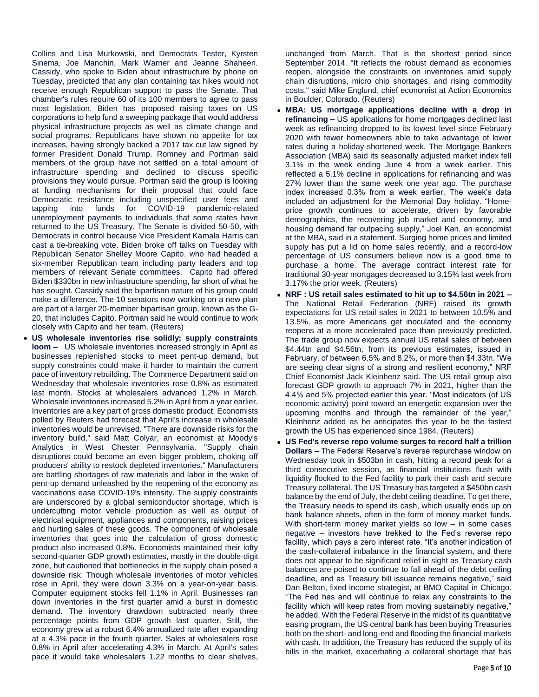Collins and Lisa Murkowski, and Democrats Tester, Kyrsten Sinema, Joe Manchin, Mark Warner and Jeanne Shaheen. Cassidy, who spoke to Biden about infrastructure by phone on Tuesday, predicted that any plan containing tax hikes would not receive enough Republican support to pass the Senate. That chamber's rules require 60 of its 100 members to agree to pass most legislation. Biden has proposed raising taxes on US corporations to help fund a sweeping package that would address physical infrastructure projects as well as climate change and social programs. Republicans have shown no appetite for tax increases, having strongly backed a 2017 tax cut law signed by former President Donald Trump. Romney and Portman said members of the group have not settled on a total amount of infrastructure spending and declined to discuss specific provisions they would pursue. Portman said the group is looking at funding mechanisms for their proposal that could face Democratic resistance including unspecified user fees and tapping into funds for COVID-19 pandemic-related unemployment payments to individuals that some states have returned to the US Treasury. The Senate is divided 50-50, with Democrats in control because Vice President Kamala Harris can cast a tie-breaking vote. Biden broke off talks on Tuesday with Republican Senator Shelley Moore Capito, who had headed a six-member Republican team including party leaders and top members of relevant Senate committees. Capito had offered Biden \$330bn in new infrastructure spending, far short of what he has sought. Cassidy said the bipartisan nature of his group could make a difference. The 10 senators now working on a new plan are part of a larger 20-member bipartisan group, known as the G-20, that includes Capito. Portman said he would continue to work closely with Capito and her team. (Reuters)

 **US wholesale inventories rise solidly; supply constraints loom –** US wholesale inventories increased strongly in April as businesses replenished stocks to meet pent-up demand, but supply constraints could make it harder to maintain the current pace of inventory rebuilding. The Commerce Department said on Wednesday that wholesale inventories rose 0.8% as estimated last month. Stocks at wholesalers advanced 1.2% in March. Wholesale inventories increased 5.2% in April from a year earlier. Inventories are a key part of gross domestic product. Economists polled by Reuters had forecast that April's increase in wholesale inventories would be unrevised. "There are downside risks for the inventory build," said Matt Colyar, an economist at Moody's Analytics in West Chester Pennsylvania. "Supply chain disruptions could become an even bigger problem, choking off producers' ability to restock depleted inventories." Manufacturers are battling shortages of raw materials and labor in the wake of pent-up demand unleashed by the reopening of the economy as vaccinations ease COVID-19's intensity. The supply constraints are underscored by a global semiconductor shortage, which is undercutting motor vehicle production as well as output of electrical equipment, appliances and components, raising prices and hurting sales of these goods. The component of wholesale inventories that goes into the calculation of gross domestic product also increased 0.8%. Economists maintained their lofty second-quarter GDP growth estimates, mostly in the double-digit zone, but cautioned that bottlenecks in the supply chain posed a downside risk. Though wholesale inventories of motor vehicles rose in April, they were down 3.3% on a year-on-year basis. Computer equipment stocks fell 1.1% in April. Businesses ran down inventories in the first quarter amid a burst in domestic demand. The inventory drawdown subtracted nearly three percentage points from GDP growth last quarter. Still, the economy grew at a robust 6.4% annualized rate after expanding at a 4.3% pace in the fourth quarter. Sales at wholesalers rose 0.8% in April after accelerating 4.3% in March. At April's sales pace it would take wholesalers 1.22 months to clear shelves,

unchanged from March. That is the shortest period since September 2014. "It reflects the robust demand as economies reopen, alongside the constraints on inventories amid supply chain disruptions, micro chip shortages, and rising commodity costs," said Mike Englund, chief economist at Action Economics in Boulder, Colorado. (Reuters)

- **MBA: US mortgage applications decline with a drop in refinancing –** US applications for home mortgages declined last week as refinancing dropped to its lowest level since February 2020 with fewer homeowners able to take advantage of lower rates during a holiday-shortened week. The Mortgage Bankers Association (MBA) said its seasonally adjusted market index fell 3.1% in the week ending June 4 from a week earlier. This reflected a 5.1% decline in applications for refinancing and was 27% lower than the same week one year ago. The purchase index increased 0.3% from a week earlier. The week's data included an adjustment for the Memorial Day holiday. "Homeprice growth continues to accelerate, driven by favorable demographics, the recovering job market and economy, and housing demand far outpacing supply," Joel Kan, an economist at the MBA, said in a statement. Surging home prices and limited supply has put a lid on home sales recently, and a record-low percentage of US consumers believe now is a good time to purchase a home. The average contract interest rate for traditional 30-year mortgages decreased to 3.15% last week from 3.17% the prior week. (Reuters)
- **NRF : US retail sales estimated to hit up to \$4.56tn in 2021 –** The National Retail Federation (NRF) raised its growth expectations for US retail sales in 2021 to between 10.5% and 13.5%, as more Americans get inoculated and the economy reopens at a more accelerated pace than previously predicted. The trade group now expects annual US retail sales of between \$4.44tn and \$4.56tn, from its previous estimates, issued in February, of between 6.5% and 8.2%, or more than \$4.33tn. "We are seeing clear signs of a strong and resilient economy," NRF Chief Economist Jack Kleinhenz said. The US retail group also forecast GDP growth to approach 7% in 2021, higher than the 4.4% and 5% projected earlier this year. "Most indicators (of US economic activity) point toward an energetic expansion over the upcoming months and through the remainder of the year," Kleinhenz added as he anticipates this year to be the fastest growth the US has experienced since 1984. (Reuters)
- **US Fed's reverse repo volume surges to record half a trillion Dollars –** The Federal Reserve's reverse repurchase window on Wednesday took in \$503bn in cash, hitting a record peak for a third consecutive session, as financial institutions flush with liquidity flocked to the Fed facility to park their cash and secure Treasury collateral. The US Treasury has targeted a \$450bn cash balance by the end of July, the debt ceiling deadline. To get there, the Treasury needs to spend its cash, which usually ends up on bank balance sheets, often in the form of money market funds. With short-term money market yields so low – in some cases negative – investors have trekked to the Fed's reverse repo facility, which pays a zero interest rate. "It's another indication of the cash-collateral imbalance in the financial system, and there does not appear to be significant relief in sight as Treasury cash balances are poised to continue to fall ahead of the debt ceiling deadline, and as Treasury bill issuance remains negative," said Dan Belton, fixed income strategist, at BMO Capital in Chicago. "The Fed has and will continue to relax any constraints to the facility which will keep rates from moving sustainably negative," he added. With the Federal Reserve in the midst of its quantitative easing program, the US central bank has been buying Treasuries both on the short- and long-end and flooding the financial markets with cash. In addition, the Treasury has reduced the supply of its bills in the market, exacerbating a collateral shortage that has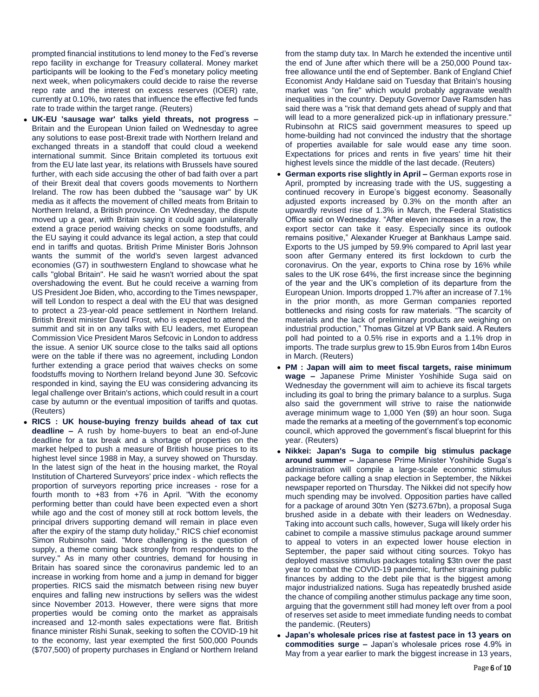prompted financial institutions to lend money to the Fed's reverse repo facility in exchange for Treasury collateral. Money market participants will be looking to the Fed's monetary policy meeting next week, when policymakers could decide to raise the reverse repo rate and the interest on excess reserves (IOER) rate, currently at 0.10%, two rates that influence the effective fed funds rate to trade within the target range. (Reuters)

- **UK-EU 'sausage war' talks yield threats, not progress –** Britain and the European Union failed on Wednesday to agree any solutions to ease post-Brexit trade with Northern Ireland and exchanged threats in a standoff that could cloud a weekend international summit. Since Britain completed its tortuous exit from the EU late last year, its relations with Brussels have soured further, with each side accusing the other of bad faith over a part of their Brexit deal that covers goods movements to Northern Ireland. The row has been dubbed the "sausage war" by UK media as it affects the movement of chilled meats from Britain to Northern Ireland, a British province. On Wednesday, the dispute moved up a gear, with Britain saying it could again unilaterally extend a grace period waiving checks on some foodstuffs, and the EU saying it could advance its legal action, a step that could end in tariffs and quotas. British Prime Minister Boris Johnson wants the summit of the world's seven largest advanced economies (G7) in southwestern England to showcase what he calls "global Britain". He said he wasn't worried about the spat overshadowing the event. But he could receive a warning from US President Joe Biden, who, according to the Times newspaper, will tell London to respect a deal with the EU that was designed to protect a 23-year-old peace settlement in Northern Ireland. British Brexit minister David Frost, who is expected to attend the summit and sit in on any talks with EU leaders, met European Commission Vice President Maros Sefcovic in London to address the issue. A senior UK source close to the talks said all options were on the table if there was no agreement, including London further extending a grace period that waives checks on some foodstuffs moving to Northern Ireland beyond June 30. Sefcovic responded in kind, saying the EU was considering advancing its legal challenge over Britain's actions, which could result in a court case by autumn or the eventual imposition of tariffs and quotas. (Reuters)
- **RICS : UK house-buying frenzy builds ahead of tax cut deadline –** A rush by home-buyers to beat an end-of-June deadline for a tax break and a shortage of properties on the market helped to push a measure of British house prices to its highest level since 1988 in May, a survey showed on Thursday. In the latest sign of the heat in the housing market, the Royal Institution of Chartered Surveyors' price index - which reflects the proportion of surveyors reporting price increases - rose for a fourth month to +83 from +76 in April. "With the economy performing better than could have been expected even a short while ago and the cost of money still at rock bottom levels, the principal drivers supporting demand will remain in place even after the expiry of the stamp duty holiday," RICS chief economist Simon Rubinsohn said. "More challenging is the question of supply, a theme coming back strongly from respondents to the survey." As in many other countries, demand for housing in Britain has soared since the coronavirus pandemic led to an increase in working from home and a jump in demand for bigger properties. RICS said the mismatch between rising new buyer enquires and falling new instructions by sellers was the widest since November 2013. However, there were signs that more properties would be coming onto the market as appraisals increased and 12-month sales expectations were flat. British finance minister Rishi Sunak, seeking to soften the COVID-19 hit to the economy, last year exempted the first 500,000 Pounds (\$707,500) of property purchases in England or Northern Ireland

from the stamp duty tax. In March he extended the incentive until the end of June after which there will be a 250,000 Pound taxfree allowance until the end of September. Bank of England Chief Economist Andy Haldane said on Tuesday that Britain's housing market was "on fire" which would probably aggravate wealth inequalities in the country. Deputy Governor Dave Ramsden has said there was a "risk that demand gets ahead of supply and that will lead to a more generalized pick-up in inflationary pressure." Rubinsohn at RICS said government measures to speed up home-building had not convinced the industry that the shortage of properties available for sale would ease any time soon. Expectations for prices and rents in five years' time hit their highest levels since the middle of the last decade. (Reuters)

- **German exports rise slightly in April –** German exports rose in April, prompted by increasing trade with the US, suggesting a continued recovery in Europe's biggest economy. Seasonally adjusted exports increased by 0.3% on the month after an upwardly revised rise of 1.3% in March, the Federal Statistics Office said on Wednesday. "After eleven increases in a row, the export sector can take it easy. Especially since its outlook remains positive," Alexander Krueger at Bankhaus Lampe said. Exports to the US jumped by 59.9% compared to April last year soon after Germany entered its first lockdown to curb the coronavirus. On the year, exports to China rose by 16% while sales to the UK rose 64%, the first increase since the beginning of the year and the UK's completion of its departure from the European Union. Imports dropped 1.7% after an increase of 7.1% in the prior month, as more German companies reported bottlenecks and rising costs for raw materials. "The scarcity of materials and the lack of preliminary products are weighing on industrial production," Thomas Gitzel at VP Bank said. A Reuters poll had pointed to a 0.5% rise in exports and a 1.1% drop in imports. The trade surplus grew to 15.9bn Euros from 14bn Euros in March. (Reuters)
- **PM : Japan will aim to meet fiscal targets, raise minimum wage –** Japanese Prime Minister Yoshihide Suga said on Wednesday the government will aim to achieve its fiscal targets including its goal to bring the primary balance to a surplus. Suga also said the government will strive to raise the nationwide average minimum wage to 1,000 Yen (\$9) an hour soon. Suga made the remarks at a meeting of the government's top economic council, which approved the government's fiscal blueprint for this year. (Reuters)
- **Nikkei: Japan's Suga to compile big stimulus package around summer –** Japanese Prime Minister Yoshihide Suga's administration will compile a large-scale economic stimulus package before calling a snap election in September, the Nikkei newspaper reported on Thursday. The Nikkei did not specify how much spending may be involved. Opposition parties have called for a package of around 30tn Yen (\$273.67bn), a proposal Suga brushed aside in a debate with their leaders on Wednesday. Taking into account such calls, however, Suga will likely order his cabinet to compile a massive stimulus package around summer to appeal to voters in an expected lower house election in September, the paper said without citing sources. Tokyo has deployed massive stimulus packages totaling \$3tn over the past year to combat the COVID-19 pandemic, further straining public finances by adding to the debt pile that is the biggest among major industrialized nations. Suga has repeatedly brushed aside the chance of compiling another stimulus package any time soon, arguing that the government still had money left over from a pool of reserves set aside to meet immediate funding needs to combat the pandemic. (Reuters)
- **Japan's wholesale prices rise at fastest pace in 13 years on commodities surge –** Japan's wholesale prices rose 4.9% in May from a year earlier to mark the biggest increase in 13 years,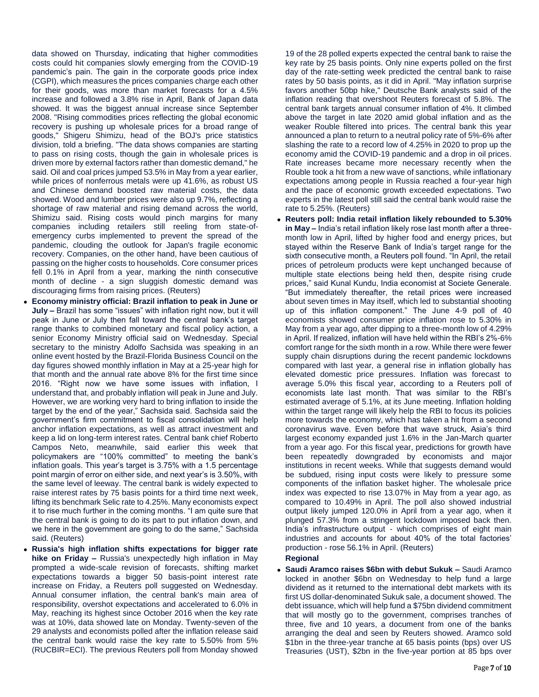data showed on Thursday, indicating that higher commodities costs could hit companies slowly emerging from the COVID-19 pandemic's pain. The gain in the corporate goods price index (CGPI), which measures the prices companies charge each other for their goods, was more than market forecasts for a 4.5% increase and followed a 3.8% rise in April, Bank of Japan data showed. It was the biggest annual increase since September 2008. "Rising commodities prices reflecting the global economic recovery is pushing up wholesale prices for a broad range of goods," Shigeru Shimizu, head of the BOJ's price statistics division, told a briefing. "The data shows companies are starting to pass on rising costs, though the gain in wholesale prices is driven more by external factors rather than domestic demand," he said. Oil and coal prices jumped 53.5% in May from a year earlier, while prices of nonferrous metals were up 41.6%, as robust US and Chinese demand boosted raw material costs, the data showed. Wood and lumber prices were also up 9.7%, reflecting a shortage of raw material and rising demand across the world, Shimizu said. Rising costs would pinch margins for many companies including retailers still reeling from state-ofemergency curbs implemented to prevent the spread of the pandemic, clouding the outlook for Japan's fragile economic recovery. Companies, on the other hand, have been cautious of passing on the higher costs to households. Core consumer prices fell 0.1% in April from a year, marking the ninth consecutive month of decline - a sign sluggish domestic demand was discouraging firms from raising prices. (Reuters)

- **Economy ministry official: Brazil inflation to peak in June or July –** Brazil has some "issues" with inflation right now, but it will peak in June or July then fall toward the central bank's target range thanks to combined monetary and fiscal policy action, a senior Economy Ministry official said on Wednesday. Special secretary to the ministry Adolfo Sachsida was speaking in an online event hosted by the Brazil-Florida Business Council on the day figures showed monthly inflation in May at a 25-year high for that month and the annual rate above 8% for the first time since 2016. "Right now we have some issues with inflation, I understand that, and probably inflation will peak in June and July. However, we are working very hard to bring inflation to inside the target by the end of the year," Sachsida said. Sachsida said the government's firm commitment to fiscal consolidation will help anchor inflation expectations, as well as attract investment and keep a lid on long-term interest rates. Central bank chief Roberto Campos Neto, meanwhile, said earlier this week that policymakers are "100% committed" to meeting the bank's inflation goals. This year's target is 3.75% with a 1.5 percentage point margin of error on either side, and next year's is 3.50%, with the same level of leeway. The central bank is widely expected to raise interest rates by 75 basis points for a third time next week, lifting its benchmark Selic rate to 4.25%. Many economists expect it to rise much further in the coming months. "I am quite sure that the central bank is going to do its part to put inflation down, and we here in the government are going to do the same," Sachsida said. (Reuters)
- **Russia's high inflation shifts expectations for bigger rate hike on Friday –** Russia's unexpectedly high inflation in May prompted a wide-scale revision of forecasts, shifting market expectations towards a bigger 50 basis-point interest rate increase on Friday, a Reuters poll suggested on Wednesday. Annual consumer inflation, the central bank's main area of responsibility, overshot expectations and accelerated to 6.0% in May, reaching its highest since October 2016 when the key rate was at 10%, data showed late on Monday. Twenty-seven of the 29 analysts and economists polled after the inflation release said the central bank would raise the key rate to 5.50% from 5% (RUCBIR=ECI). The previous Reuters poll from Monday showed

19 of the 28 polled experts expected the central bank to raise the key rate by 25 basis points. Only nine experts polled on the first day of the rate-setting week predicted the central bank to raise rates by 50 basis points, as it did in April. "May inflation surprise favors another 50bp hike," Deutsche Bank analysts said of the inflation reading that overshoot Reuters forecast of 5.8%. The central bank targets annual consumer inflation of 4%. It climbed above the target in late 2020 amid global inflation and as the weaker Rouble filtered into prices. The central bank this year announced a plan to return to a neutral policy rate of 5%-6% after slashing the rate to a record low of 4.25% in 2020 to prop up the economy amid the COVID-19 pandemic and a drop in oil prices. Rate increases became more necessary recently when the Rouble took a hit from a new wave of sanctions, while inflationary expectations among people in Russia reached a four-year high and the pace of economic growth exceeded expectations. Two experts in the latest poll still said the central bank would raise the rate to 5.25%. (Reuters)

- **Reuters poll: India retail inflation likely rebounded to 5.30% in May –** India's retail inflation likely rose last month after a threemonth low in April, lifted by higher food and energy prices, but stayed within the Reserve Bank of India's target range for the sixth consecutive month, a Reuters poll found. "In April, the retail prices of petroleum products were kept unchanged because of multiple state elections being held then, despite rising crude prices," said Kunal Kundu, India economist at Societe Generale. "But immediately thereafter, the retail prices were increased about seven times in May itself, which led to substantial shooting up of this inflation component." The June 4-9 poll of 40 economists showed consumer price inflation rose to 5.30% in May from a year ago, after dipping to a three-month low of 4.29% in April. If realized, inflation will have held within the RBI's 2%-6% comfort range for the sixth month in a row. While there were fewer supply chain disruptions during the recent pandemic lockdowns compared with last year, a general rise in inflation globally has elevated domestic price pressures. Inflation was forecast to average 5.0% this fiscal year, according to a Reuters poll of economists late last month. That was similar to the RBI's estimated average of 5.1%, at its June meeting. Inflation holding within the target range will likely help the RBI to focus its policies more towards the economy, which has taken a hit from a second coronavirus wave. Even before that wave struck, Asia's third largest economy expanded just 1.6% in the Jan-March quarter from a year ago. For this fiscal year, predictions for growth have been repeatedly downgraded by economists and major institutions in recent weeks. While that suggests demand would be subdued, rising input costs were likely to pressure some components of the inflation basket higher. The wholesale price index was expected to rise 13.07% in May from a year ago, as compared to 10.49% in April. The poll also showed industrial output likely jumped 120.0% in April from a year ago, when it plunged 57.3% from a stringent lockdown imposed back then. India's infrastructure output - which comprises of eight main industries and accounts for about 40% of the total factories' production - rose 56.1% in April. (Reuters)
	- **Regional**
- **Saudi Aramco raises \$6bn with debut Sukuk –** Saudi Aramco locked in another \$6bn on Wednesday to help fund a large dividend as it returned to the international debt markets with its first US dollar-denominated Sukuk sale, a document showed. The debt issuance, which will help fund a \$75bn dividend commitment that will mostly go to the government, comprises tranches of three, five and 10 years, a document from one of the banks arranging the deal and seen by Reuters showed. Aramco sold \$1bn in the three-year tranche at 65 basis points (bps) over US Treasuries (UST), \$2bn in the five-year portion at 85 bps over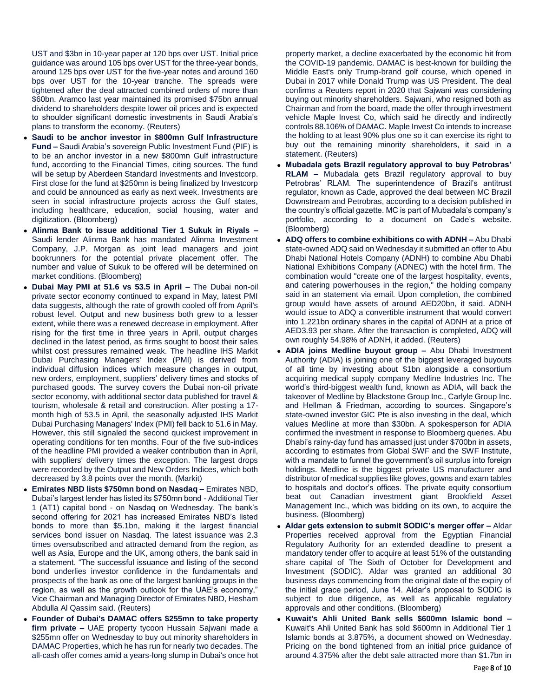UST and \$3bn in 10-year paper at 120 bps over UST. Initial price guidance was around 105 bps over UST for the three-year bonds, around 125 bps over UST for the five-year notes and around 160 bps over UST for the 10-year tranche. The spreads were tightened after the deal attracted combined orders of more than \$60bn. Aramco last year maintained its promised \$75bn annual dividend to shareholders despite lower oil prices and is expected to shoulder significant domestic investments in Saudi Arabia's plans to transform the economy. (Reuters)

- **Saudi to be anchor investor in \$800mn Gulf Infrastructure Fund –** Saudi Arabia's sovereign Public Investment Fund (PIF) is to be an anchor investor in a new \$800mn Gulf infrastructure fund, according to the Financial Times, citing sources. The fund will be setup by Aberdeen Standard Investments and Investcorp. First close for the fund at \$250mn is being finalized by Investcorp and could be announced as early as next week. Investments are seen in social infrastructure projects across the Gulf states, including healthcare, education, social housing, water and digitization. (Bloomberg)
- **Alinma Bank to issue additional Tier 1 Sukuk in Riyals –** Saudi lender Alinma Bank has mandated Alinma Investment Company, J.P. Morgan as joint lead managers and joint bookrunners for the potential private placement offer. The number and value of Sukuk to be offered will be determined on market conditions. (Bloomberg)
- **Dubai May PMI at 51.6 vs 53.5 in April –** The Dubai non-oil private sector economy continued to expand in May, latest PMI data suggests, although the rate of growth cooled off from April's robust level. Output and new business both grew to a lesser extent, while there was a renewed decrease in employment. After rising for the first time in three years in April, output charges declined in the latest period, as firms sought to boost their sales whilst cost pressures remained weak. The headline IHS Markit Dubai Purchasing Managers' Index (PMI) is derived from individual diffusion indices which measure changes in output, new orders, employment, suppliers' delivery times and stocks of purchased goods. The survey covers the Dubai non-oil private sector economy, with additional sector data published for travel & tourism, wholesale & retail and construction. After posting a 17 month high of 53.5 in April, the seasonally adjusted IHS Markit Dubai Purchasing Managers' Index (PMI) fell back to 51.6 in May. However, this still signaled the second quickest improvement in operating conditions for ten months. Four of the five sub-indices of the headline PMI provided a weaker contribution than in April, with suppliers' delivery times the exception. The largest drops were recorded by the Output and New Orders Indices, which both decreased by 3.8 points over the month. (Markit)
- **Emirates NBD lists \$750mn bond on Nasdaq –** Emirates NBD, Dubai's largest lender has listed its \$750mn bond - Additional Tier 1 (AT1) capital bond - on Nasdaq on Wednesday. The bank's second offering for 2021 has increased Emirates NBD's listed bonds to more than \$5.1bn, making it the largest financial services bond issuer on Nasdaq. The latest issuance was 2.3 times oversubscribed and attracted demand from the region, as well as Asia, Europe and the UK, among others, the bank said in a statement. "The successful issuance and listing of the second bond underlies investor confidence in the fundamentals and prospects of the bank as one of the largest banking groups in the region, as well as the growth outlook for the UAE's economy," Vice Chairman and Managing Director of Emirates NBD, Hesham Abdulla Al Qassim said. (Reuters)
- **Founder of Dubai's DAMAC offers \$255mn to take property firm private –** UAE property tycoon Hussain Sajwani made a \$255mn offer on Wednesday to buy out minority shareholders in DAMAC Properties, which he has run for nearly two decades. The all-cash offer comes amid a years-long slump in Dubai's once hot

property market, a decline exacerbated by the economic hit from the COVID-19 pandemic. DAMAC is best-known for building the Middle East's only Trump-brand golf course, which opened in Dubai in 2017 while Donald Trump was US President. The deal confirms a Reuters report in 2020 that Sajwani was considering buying out minority shareholders. Sajwani, who resigned both as Chairman and from the board, made the offer through investment vehicle Maple Invest Co, which said he directly and indirectly controls 88.106% of DAMAC. Maple Invest Co intends to increase the holding to at least 90% plus one so it can exercise its right to buy out the remaining minority shareholders, it said in a statement. (Reuters)

- **Mubadala gets Brazil regulatory approval to buy Petrobras' RLAM –** Mubadala gets Brazil regulatory approval to buy Petrobras' RLAM. The superintendence of Brazil's antitrust regulator, known as Cade, approved the deal between MC Brazil Downstream and Petrobras, according to a decision published in the country's official gazette. MC is part of Mubadala's company's portfolio, according to a document on Cade's website. (Bloomberg)
- **ADQ offers to combine exhibitions co with ADNH –** Abu Dhabi state-owned ADQ said on Wednesday it submitted an offer to Abu Dhabi National Hotels Company (ADNH) to combine Abu Dhabi National Exhibitions Company (ADNEC) with the hotel firm. The combination would "create one of the largest hospitality, events, and catering powerhouses in the region," the holding company said in an statement via email. Upon completion, the combined group would have assets of around AED20bn, it said. ADNH would issue to ADQ a convertible instrument that would convert into 1.221bn ordinary shares in the capital of ADNH at a price of AED3.93 per share. After the transaction is completed, ADQ will own roughly 54.98% of ADNH, it added. (Reuters)
- **ADIA joins Medline buyout group –** Abu Dhabi Investment Authority (ADIA) is joining one of the biggest leveraged buyouts of all time by investing about \$1bn alongside a consortium acquiring medical supply company Medline Industries Inc. The world's third-biggest wealth fund, known as ADIA, will back the takeover of Medline by Blackstone Group Inc., Carlyle Group Inc. and Hellman & Friedman, according to sources. Singapore's state-owned investor GIC Pte is also investing in the deal, which values Medline at more than \$30bn. A spokesperson for ADIA confirmed the investment in response to Bloomberg queries. Abu Dhabi's rainy-day fund has amassed just under \$700bn in assets, according to estimates from Global SWF and the SWF Institute, with a mandate to funnel the government's oil surplus into foreign holdings. Medline is the biggest private US manufacturer and distributor of medical supplies like gloves, gowns and exam tables to hospitals and doctor's offices. The private equity consortium beat out Canadian investment giant Brookfield Asset Management Inc., which was bidding on its own, to acquire the business. (Bloomberg)
- **Aldar gets extension to submit SODIC's merger offer –** Aldar Properties received approval from the Egyptian Financial Regulatory Authority for an extended deadline to present a mandatory tender offer to acquire at least 51% of the outstanding share capital of The Sixth of October for Development and Investment (SODIC). Aldar was granted an additional 30 business days commencing from the original date of the expiry of the initial grace period, June 14. Aldar's proposal to SODIC is subject to due diligence, as well as applicable regulatory approvals and other conditions. (Bloomberg)
- **Kuwait's Ahli United Bank sells \$600mn Islamic bond –** Kuwait's Ahli United Bank has sold \$600mn in Additional Tier 1 Islamic bonds at 3.875%, a document showed on Wednesday. Pricing on the bond tightened from an initial price guidance of around 4.375% after the debt sale attracted more than \$1.7bn in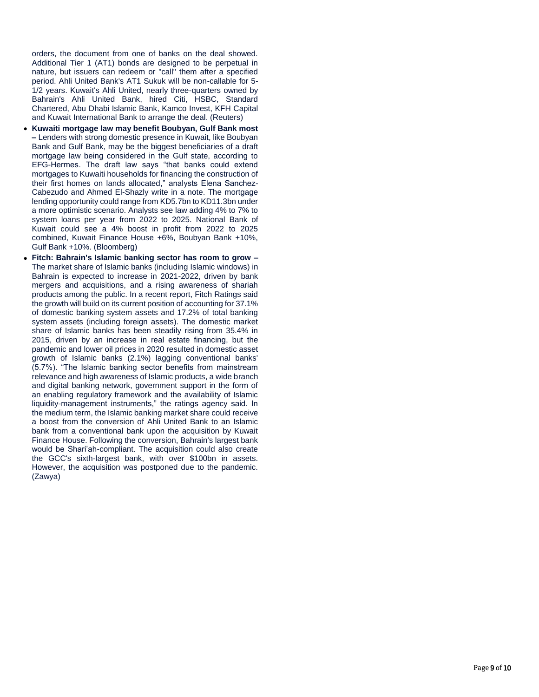orders, the document from one of banks on the deal showed. Additional Tier 1 (AT1) bonds are designed to be perpetual in nature, but issuers can redeem or "call" them after a specified period. Ahli United Bank's AT1 Sukuk will be non -callable for 5 - 1/2 years. Kuwait's Ahli United, nearly three -quarters owned by Bahrain's Ahli United Bank, hired Citi, HSBC, Standard Chartered, Abu Dhabi Islamic Bank, Kamco Invest, KFH Capital and Kuwait International Bank to arrange the deal. (Reuters)

- **Kuwaiti mortgage law may benefit Boubyan, Gulf Bank most –** Lenders with strong domestic presence in Kuwait, like Boubyan Bank and Gulf Bank, may be the biggest beneficiaries of a draft mortgage law being considered in the Gulf state, according to EFG -Hermes. The draft law says "that banks could extend mortgages to Kuwaiti households for financing the construction of their first homes on lands allocated," analysts Elena Sanchez - Cabezudo and Ahmed El -Shazly write in a note. The mortgage lending opportunity could range from KD5.7bn to KD11.3bn under a more optimistic scenario. Analysts see law adding 4% to 7% to system loans per year from 2022 to 2025. National Bank of Kuwait could see a 4% boost in profit from 2022 to 2025 combined, Kuwait Finance House +6%, Boubyan Bank +10%, Gulf Bank +10%. (Bloomberg)
- **Fitch: Bahrain's Islamic banking sector has room to grow –** The market share of Islamic banks (including Islamic windows) in Bahrain is expected to increase in 2021 -2022, driven by bank mergers and acquisitions, and a rising awareness of shariah products among the public. In a recent report, Fitch Ratings said the growth will build on its current position of accounting for 37.1% of domestic banking system assets and 17.2% of total banking system assets (including foreign assets). The domestic market share of Islamic banks has been steadily rising from 35.4% in 2015, driven by an increase in real estate financing, but the pandemic and lower oil prices in 2020 resulted in domestic asset growth of Islamic banks (2.1%) lagging conventional banks' (5.7%). "The Islamic banking sector benefits from mainstream relevance and high awareness of Islamic products, a wide branch and digital banking network, government support in the form of an enabling regulatory framework and the availability of Islamic liquidity -management instruments," the ratings agency said. In the medium term, the Islamic banking market share could receive a boost from the conversion of Ahli United Bank to an Islamic bank from a conventional bank upon the acquisition by Kuwait Finance House. Following the conversion, Bahrain's largest bank would be Shari'ah -compliant. The acquisition could also create the GCC's sixth -largest bank, with over \$100bn in assets. However, the acquisition was postponed due to the pandemic. (Zawya)